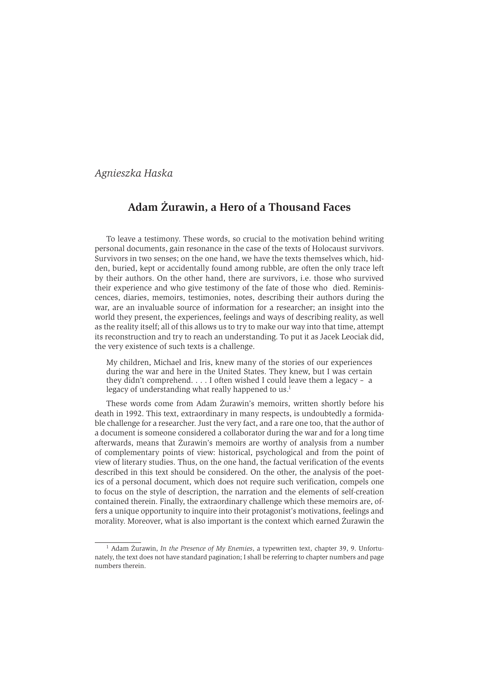# Agnieszka Haska

# Adam Żurawin, a Hero of a Thousand Faces

To leave a testimony. These words, so crucial to the motivation behind writing personal documents, gain resonance in the case of the texts of Holocaust survivors. Survivors in two senses; on the one hand, we have the texts themselves which, hidden, buried, kept or accidentally found among rubble, are often the only trace left by their authors. On the other hand, there are survivors, i.e. those who survived their experience and who give testimony of the fate of those who died. Reminiscences, diaries, memoirs, testimonies, notes, describing their authors during the war, are an invaluable source of information for a researcher; an insight into the world they present, the experiences, feelings and ways of describing reality, as well as the reality itself; all of this allows us to try to make our way into that time, attempt its reconstruction and try to reach an understanding. To put it as Jacek Leociak did, the very existence of such texts is a challenge.

My children, Michael and Iris, knew many of the stories of our experiences during the war and here in the United States. They knew, but I was certain they didn't comprehend.  $\ldots$  I often wished I could leave them a legacy - a legacy of understanding what really happened to us.<sup>1</sup>

These words come from Adam Żurawin's memoirs, written shortly before his death in 1992. This text, extraordinary in many respects, is undoubtedly a formidable challenge for a researcher. Just the very fact, and a rare one too, that the author of a document is someone considered a collaborator during the war and for a long time afterwards, means that Zurawin's memoirs are worthy of analysis from a number of complementary points of view: historical, psychological and from the point of view of literary studies. Thus, on the one hand, the factual verification of the events described in this text should be considered. On the other, the analysis of the poetics of a personal document, which does not require such verification, compels one to focus on the style of description, the narration and the elements of self-creation contained therein. Finally, the extraordinary challenge which these memoirs are, offers a unique opportunity to inquire into their protagonist's motivations, feelings and morality. Moreover, what is also important is the context which earned Żurawin the

 $1$  Adam Żurawin, *In the Presence of My Enemies*, a typewritten text, chapter 39, 9. Unfortunately, the text does not have standard pagination; I shall be referring to chapter numbers and page numbers therein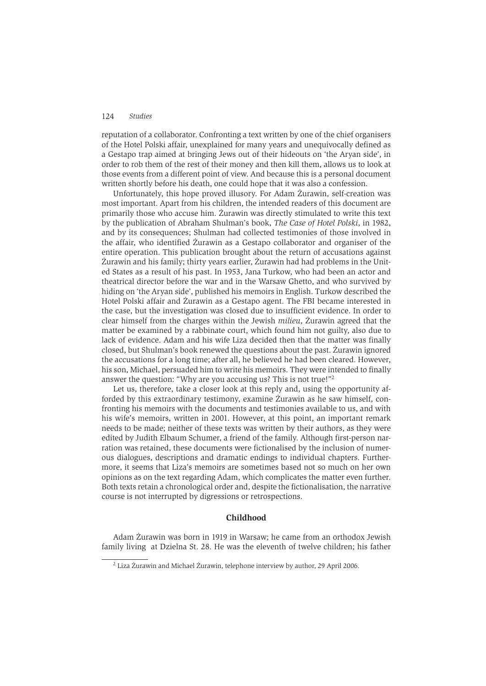reputation of a collaborator. Confronting a text written by one of the chief organisers of the Hotel Polski affair, unexplained for many years and unequivocally defined as a Gestapo trap aimed at bringing Jews out of their hideouts on 'the Aryan side', in order to rob them of the rest of their money and then kill them, allows us to look at those events from a different point of view. And because this is a personal document written shortly before his death, one could hope that it was also a confession.

Unfortunately, this hope proved illusory. For Adam Zurawin, self-creation was most important. Apart from his children, the intended readers of this document are primarily those who accuse him. Zurawin was directly stimulated to write this text by the publication of Abraham Shulman's book, The Case of Hotel Polski, in 1982, and by its consequences; Shulman had collected testimonies of those involved in the affair, who identified Zurawin as a Gestapo collaborator and organiser of the entire operation. This publication brought about the return of accusations against Żurawin and his family; thirty years earlier, Żurawin had had problems in the United States as a result of his past. In 1953, Jana Turkow, who had been an actor and theatrical director before the war and in the Warsaw Ghetto, and who survived by hiding on 'the Aryan side', published his memoirs in English. Turkow described the Hotel Polski affair and Żurawin as a Gestapo agent. The FBI became interested in the case, but the investigation was closed due to insufficient evidence. In order to clear himself from the charges within the Jewish *milieu*, Zurawin agreed that the matter be examined by a rabbinate court, which found him not guilty, also due to lack of evidence. Adam and his wife Liza decided then that the matter was finally closed, but Shulman's book renewed the questions about the past. Zurawin ignored the accusations for a long time; after all, he believed he had been cleared. However, his son, Michael, persuaded him to write his memoirs. They were intended to finally answer the question: "Why are you accusing us? This is not true!"<sup>2</sup>

Let us, therefore, take a closer look at this reply and, using the opportunity afforded by this extraordinary testimony, examine Zurawin as he saw himself, confronting his memoirs with the documents and testimonies available to us, and with his wife's memoirs, written in 2001. However, at this point, an important remark needs to be made; neither of these texts was written by their authors, as they were edited by Judith Elbaum Schumer, a friend of the family. Although first-person narration was retained, these documents were fictionalised by the inclusion of numerous dialogues, descriptions and dramatic endings to individual chapters. Furthermore, it seems that Liza's memoirs are sometimes based not so much on her own opinions as on the text regarding Adam, which complicates the matter even further. Both texts retain a chronological order and, despite the fictionalisation, the narrative course is not interrupted by digressions or retrospections.

# Childhood

Adam Żurawin was born in 1919 in Warsaw; he came from an orthodox Jewish family living at Dzielna St. 28. He was the eleventh of twelve children; his father

<sup>&</sup>lt;sup>2</sup> Liza Żurawin and Michael Żurawin, telephone interview by author, 29 April 2006.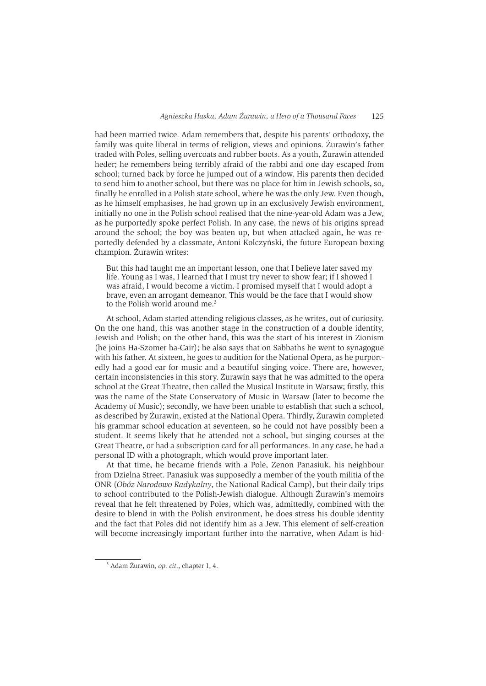had been married twice. Adam remembers that, despite his parents' orthodoxy, the family was quite liberal in terms of religion, views and opinions. Żurawin's father traded with Poles, selling overcoats and rubber boots. As a youth, Żurawin attended heder; he remembers being terribly afraid of the rabbi and one day escaped from school; turned back by force he jumped out of a window. His parents then decided to send him to another school, but there was no place for him in Jewish schools, so, finally he enrolled in a Polish state school, where he was the only Jew. Even though, as he himself emphasises, he had grown up in an exclusively Jewish environment. initially no one in the Polish school realised that the nine-year-old Adam was a Jew. as he purportedly spoke perfect Polish. In any case, the news of his origins spread around the school; the boy was beaten up, but when attacked again, he was reportedly defended by a classmate, Antoni Kolczyński, the future European boxing champion. Żurawin writes:

But this had taught me an important lesson, one that I believe later saved my life. Young as I was, I learned that I must try never to show fear; if I showed I was afraid, I would become a victim. I promised myself that I would adopt a brave, even an arrogant demeanor. This would be the face that I would show to the Polish world around me.<sup>3</sup>

At school, Adam started attending religious classes, as he writes, out of curiosity. On the one hand, this was another stage in the construction of a double identity, Jewish and Polish; on the other hand, this was the start of his interest in Zionism (he joins Ha-Szomer ha-Cair); he also says that on Sabbaths he went to synagogue with his father. At sixteen, he goes to audition for the National Opera, as he purportedly had a good ear for music and a beautiful singing voice. There are, however, certain inconsistencies in this story. Zurawin says that he was admitted to the opera school at the Great Theatre, then called the Musical Institute in Warsaw; firstly, this was the name of the State Conservatory of Music in Warsaw (later to become the Academy of Music); secondly, we have been unable to establish that such a school, as described by Zurawin, existed at the National Opera. Thirdly, Zurawin completed his grammar school education at seventeen, so he could not have possibly been a student. It seems likely that he attended not a school, but singing courses at the Great Theatre, or had a subscription card for all performances. In any case, he had a personal ID with a photograph, which would prove important later.

At that time, he became friends with a Pole, Zenon Panasiuk, his neighbour from Dzielna Street. Panasiuk was supposedly a member of the youth militia of the ONR (Obóz Narodowo Radykalny, the National Radical Camp), but their daily trips to school contributed to the Polish-Jewish dialogue. Although Żurawin's memoirs reveal that he felt threatened by Poles, which was, admittedly, combined with the desire to blend in with the Polish environment, he does stress his double identity and the fact that Poles did not identify him as a Jew. This element of self-creation will become increasingly important further into the narrative, when Adam is hid-

<sup>&</sup>lt;sup>3</sup> Adam Żurawin, op. cit., chapter 1, 4.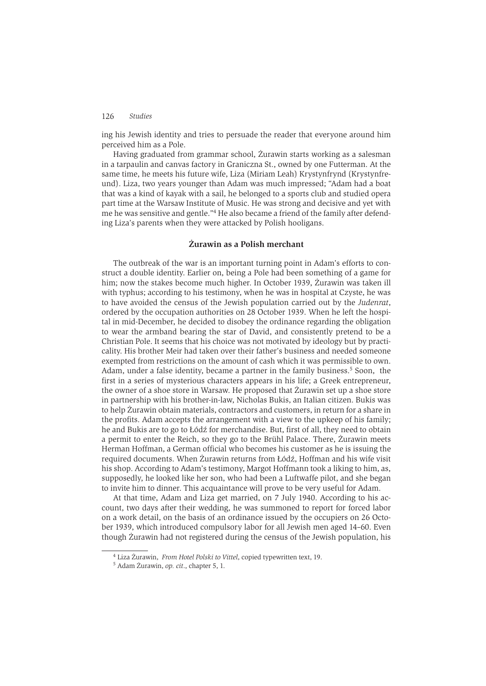ing his Jewish identity and tries to persuade the reader that everyone around him perceived him as a Pole.

Having graduated from grammar school, Żurawin starts working as a salesman in a tarpaulin and canvas factory in Graniczna St., owned by one Futterman. At the same time, he meets his future wife, Liza (Miriam Leah) Krystynfrynd (Krystynfreund). Liza, two years younger than Adam was much impressed: "Adam had a boat that was a kind of kavak with a sail, he belonged to a sports club and studied opera part time at the Warsaw Institute of Music. He was strong and decisive and vet with me he was sensitive and gentle."<sup>4</sup> He also became a friend of the family after defending Liza's parents when they were attacked by Polish hooligans.

### Żurawin as a Polish merchant

The outbreak of the war is an important turning point in Adam's efforts to construct a double identity. Earlier on, being a Pole had been something of a game for him; now the stakes become much higher. In October 1939, Zurawin was taken ill with typhus; according to his testimony, when he was in hospital at Czyste, he was to have avoided the census of the Jewish population carried out by the Judenrat. ordered by the occupation authorities on 28 October 1939. When he left the hospital in mid-December, he decided to disobey the ordinance regarding the obligation to wear the armband bearing the star of David, and consistently pretend to be a Christian Pole. It seems that his choice was not motivated by ideology but by practicality. His brother Meir had taken over their father's business and needed someone exempted from restrictions on the amount of cash which it was permissible to own. Adam, under a false identity, became a partner in the family business.<sup>5</sup> Soon, the first in a series of mysterious characters appears in his life; a Greek entrepreneur, the owner of a shoe store in Warsaw. He proposed that Zurawin set up a shoe store in partnership with his brother-in-law. Nicholas Bukis, an Italian citizen. Bukis was to help Żurawin obtain materials, contractors and customers, in return for a share in the profits. Adam accepts the arrangement with a view to the upkeep of his family; he and Bukis are to go to Łódź for merchandise. But, first of all, they need to obtain a permit to enter the Reich, so they go to the Brühl Palace. There, Zurawin meets Herman Hoffman, a German official who becomes his customer as he is issuing the required documents. When Żurawin returns from Łódź, Hoffman and his wife visit his shop. According to Adam's testimony, Margot Hoffmann took a liking to him, as, supposedly, he looked like her son, who had been a Luftwaffe pilot, and she began to invite him to dinner. This acquaintance will prove to be very useful for Adam.

At that time, Adam and Liza get married, on 7 July 1940. According to his account, two days after their wedding, he was summoned to report for forced labor on a work detail, on the basis of an ordinance issued by the occupiers on 26 October 1939, which introduced compulsory labor for all Jewish men aged 14-60. Even though Zurawin had not registered during the census of the Jewish population, his

<sup>&</sup>lt;sup>4</sup> Liza Żurawin, From Hotel Polski to Vittel, copied typewritten text, 19.

<sup>&</sup>lt;sup>5</sup> Adam Żurawin, op. cit., chapter 5, 1.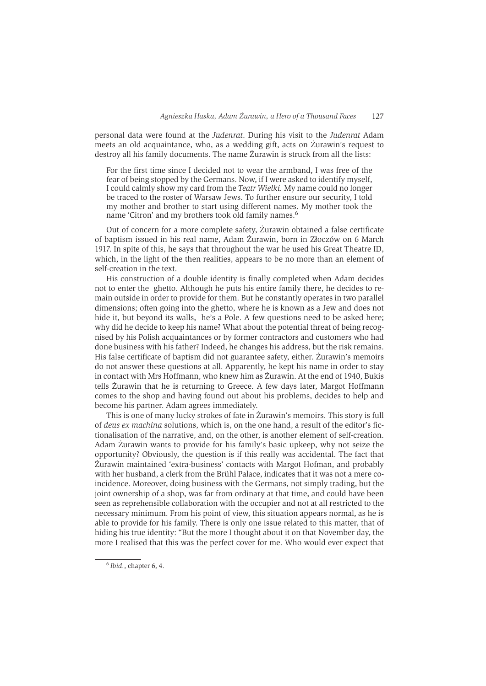personal data were found at the Judenrat. During his visit to the Judenrat Adam meets an old acquaintance, who, as a wedding gift, acts on Żurawin's request to destroy all his family documents. The name Żurawin is struck from all the lists:

For the first time since I decided not to wear the armband, I was free of the fear of being stopped by the Germans. Now, if I were asked to identify myself, I could calmly show my card from the Teatr Wielki. My name could no longer be traced to the roster of Warsaw Jews. To further ensure our security, I told my mother and brother to start using different names. My mother took the name 'Citron' and my brothers took old family names.<sup>6</sup>

Out of concern for a more complete safety, Żurawin obtained a false certificate of baptism issued in his real name, Adam Żurawin, born in Złoczów on 6 March 1917. In spite of this, he says that throughout the war he used his Great Theatre ID, which, in the light of the then realities, appears to be no more than an element of self-creation in the text.

His construction of a double identity is finally completed when Adam decides not to enter the ghetto. Although he puts his entire family there, he decides to remain outside in order to provide for them. But he constantly operates in two parallel dimensions; often going into the ghetto, where he is known as a Jew and does not hide it, but beyond its walls. he's a Pole. A few questions need to be asked here: why did he decide to keep his name? What about the potential threat of being recognised by his Polish acquaintances or by former contractors and customers who had done business with his father? Indeed, he changes his address, but the risk remains. His false certificate of baptism did not guarantee safety, either. Zurawin's memoirs do not answer these questions at all. Apparently, he kept his name in order to stay in contact with Mrs Hoffmann, who knew him as Zurawin. At the end of 1940, Bukis tells Zurawin that he is returning to Greece. A few days later, Margot Hoffmann comes to the shop and having found out about his problems, decides to help and become his partner. Adam agrees immediately.

This is one of many lucky strokes of fate in Żurawin's memoirs. This story is full of *deus ex machina* solutions, which is, on the one hand, a result of the editor's fictionalisation of the narrative, and, on the other, is another element of self-creation. Adam Zurawin wants to provide for his family's basic upkeep, why not seize the opportunity? Obviously, the question is if this really was accidental. The fact that Żurawin maintained 'extra-business' contacts with Margot Hofman, and probably with her husband, a clerk from the Brühl Palace, indicates that it was not a mere coincidence. Moreover, doing business with the Germans, not simply trading, but the joint ownership of a shop, was far from ordinary at that time, and could have been seen as reprehensible collaboration with the occupier and not at all restricted to the necessary minimum. From his point of view, this situation appears normal, as he is able to provide for his family. There is only one issue related to this matter, that of hiding his true identity: "But the more I thought about it on that November day, the more I realised that this was the perfect cover for me. Who would ever expect that

 $6$  Ibid., chapter 6, 4.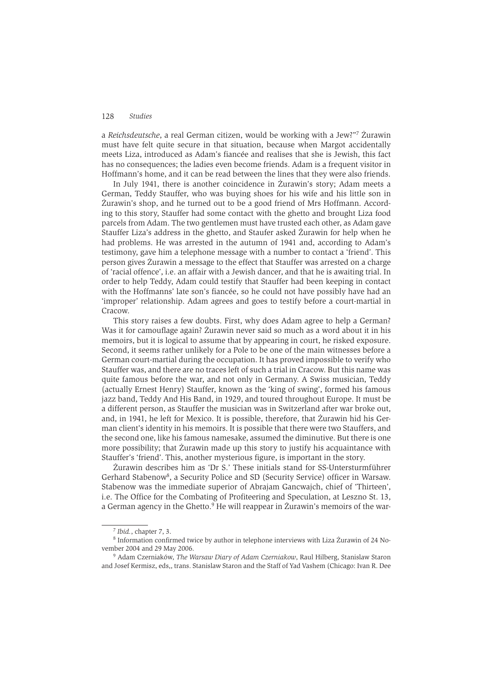a Reichsdeutsche, a real German citizen, would be working with a Jew?"<sup>7</sup> Zurawin must have felt quite secure in that situation, because when Margot accidentally meets Liza, introduced as Adam's fiancée and realises that she is Jewish, this fact has no consequences; the ladies even become friends. Adam is a frequent visitor in Hoffmann's home, and it can be read between the lines that they were also friends.

In July 1941, there is another coincidence in Żurawin's story; Adam meets a German, Teddy Stauffer, who was buying shoes for his wife and his little son in Żurawin's shop, and he turned out to be a good friend of Mrs Hoffmann. According to this story, Stauffer had some contact with the ghetto and brought Liza food parcels from Adam. The two gentlemen must have trusted each other, as Adam gave Stauffer Liza's address in the ghetto, and Staufer asked Zurawin for help when he had problems. He was arrested in the autumn of 1941 and, according to Adam's testimony, gave him a telephone message with a number to contact a 'friend'. This person gives Żurawin a message to the effect that Stauffer was arrested on a charge of 'racial offence', i.e. an affair with a Jewish dancer, and that he is awaiting trial. In order to help Teddy, Adam could testify that Stauffer had been keeping in contact with the Hoffmanns' late son's fiancée, so he could not have possibly have had an 'improper' relationship. Adam agrees and goes to testify before a court-martial in Cracow.

This story raises a few doubts. First, why does Adam agree to help a German? Was it for camouflage again? Zurawin never said so much as a word about it in his memoirs, but it is logical to assume that by appearing in court, he risked exposure. Second, it seems rather unlikely for a Pole to be one of the main witnesses before a German court-martial during the occupation. It has proved impossible to verify who Stauffer was, and there are no traces left of such a trial in Cracow. But this name was quite famous before the war, and not only in Germany. A Swiss musician, Teddy (actually Ernest Henry) Stauffer, known as the 'king of swing', formed his famous jazz band, Teddy And His Band, in 1929, and toured throughout Europe. It must be a different person, as Stauffer the musician was in Switzerland after war broke out, and, in 1941, he left for Mexico. It is possible, therefore, that Zurawin hid his German client's identity in his memoirs. It is possible that there were two Stauffers, and the second one, like his famous namesake, assumed the diminutive. But there is one more possibility; that Zurawin made up this story to justify his acquaintance with Stauffer's 'friend'. This, another mysterious figure, is important in the story.

Żurawin describes him as 'Dr S.' These initials stand for SS-Untersturmführer Gerhard Stabenow<sup>8</sup>, a Security Police and SD (Security Service) officer in Warsaw. Stabenow was the immediate superior of Abraiam Gancwaich, chief of 'Thirteen', i.e. The Office for the Combating of Profiteering and Speculation, at Leszno St. 13, a German agency in the Ghetto.<sup>9</sup> He will reappear in Żurawin's memoirs of the war-

<sup>&</sup>lt;sup>7</sup> Ibid., chapter 7, 3.

<sup>&</sup>lt;sup>8</sup> Information confirmed twice by author in telephone interviews with Liza Żurawin of 24 November 2004 and 29 May 2006.

<sup>&</sup>lt;sup>9</sup> Adam Czerniaków, The Warsaw Diary of Adam Czerniakow, Raul Hilberg, Stanislaw Staron and Josef Kermisz, eds., trans. Stanislaw Staron and the Staff of Yad Vashem (Chicago: Ivan R. Dee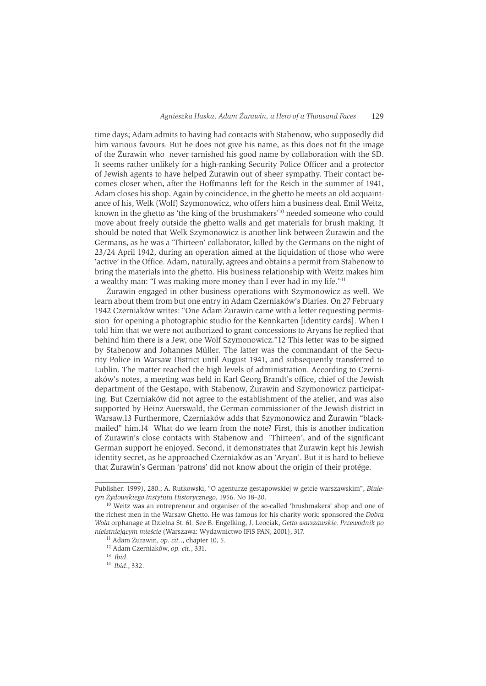time days; Adam admits to having had contacts with Stabenow, who supposedly did him various favours. But he does not give his name, as this does not fit the image of the Żurawin who never tarnished his good name by collaboration with the SD. It seems rather unlikely for a high-ranking Security Police Officer and a protector of Jewish agents to have helped Zurawin out of sheer sympathy. Their contact becomes closer when, after the Hoffmanns left for the Reich in the summer of 1941, Adam closes his shop. Again by coincidence, in the ghetto he meets an old acquaintance of his, Welk (Wolf) Szymonowicz, who offers him a business deal. Emil Weitz, known in the ghetto as 'the king of the brushmakers'<sup>10</sup> needed someone who could move about freely outside the ghetto walls and get materials for brush making. It should be noted that Welk Szymonowicz is another link between Żurawin and the Germans, as he was a 'Thirteen' collaborator, killed by the Germans on the night of 23/24 April 1942, during an operation aimed at the liquidation of those who were 'active' in the Office. Adam, naturally, agrees and obtains a permit from Stabenow to bring the materials into the ghetto. His business relationship with Weitz makes him a wealthy man: "I was making more money than I ever had in my life."<sup>11</sup>

Żurawin engaged in other business operations with Szymonowicz as well. We learn about them from but one entry in Adam Czerniaków's Diaries. On 27 February 1942 Czerniaków writes: "One Adam Żurawin came with a letter requesting permission for opening a photographic studio for the Kennkarten [identity cards]. When I told him that we were not authorized to grant concessions to Aryans he replied that behind him there is a Jew, one Wolf Szymonowicz."12 This letter was to be signed by Stabenow and Johannes Müller. The latter was the commandant of the Security Police in Warsaw District until August 1941, and subsequently transferred to Lublin. The matter reached the high levels of administration. According to Czerniaków's notes, a meeting was held in Karl Georg Brandt's office, chief of the Jewish department of the Gestapo, with Stabenow, Żurawin and Szymonowicz participating. But Czerniaków did not agree to the establishment of the atelier, and was also supported by Heinz Auerswald, the German commissioner of the Jewish district in Warsaw.13 Furthermore, Czerniaków adds that Szymonowicz and Żurawin "blackmailed" him.14 What do we learn from the note? First, this is another indication of Żurawin's close contacts with Stabenow and "Thirteen', and of the significant German support he enjoyed. Second, it demonstrates that Zurawin kept his Jewish identity secret, as he approached Czerniaków as an 'Arvan'. But it is hard to believe that Żurawin's German 'patrons' did not know about the origin of their protége.

Publisher: 1999), 280.; A. Rutkowski, "O agenturze gestapowskiej w getcie warszawskim", Biuletyn Żydowskiego Instytutu Historycznego, 1956. No 18-20.

<sup>&</sup>lt;sup>10</sup> Weitz was an entrepreneur and organiser of the so-called 'brushmakers' shop and one of the richest men in the Warsaw Ghetto. He was famous for his charity work: sponsored the Dobra Wola orphanage at Dzielna St. 61. See B. Engelking, J. Leociak, Getto warszawskie. Przewodnik po nieistniejącym mieście (Warszawa: Wydawnictwo IFiS PAN, 2001), 317.

<sup>&</sup>lt;sup>11</sup> Adam Żurawin, op. cit.., chapter 10, 5.

<sup>&</sup>lt;sup>12</sup> Adam Czerniaków, op. cit., 331.

 $13$  Ibid.

 $14$  Ibid., 332.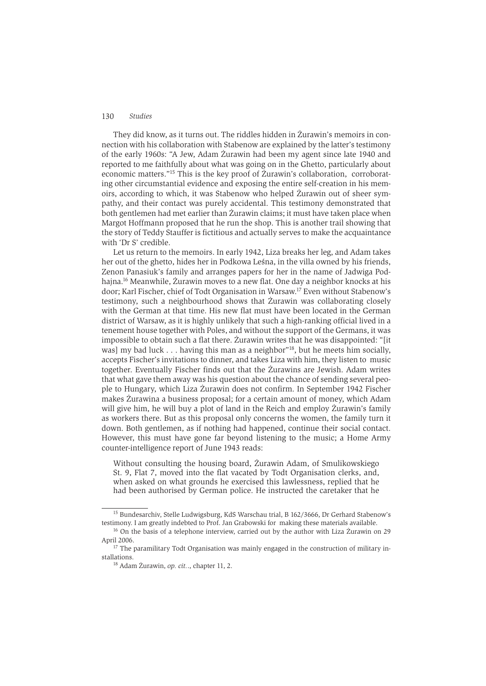They did know, as it turns out. The riddles hidden in Zurawin's memoirs in connection with his collaboration with Stabenow are explained by the latter's testimony of the early 1960s: "A Jew, Adam Żurawin had been my agent since late 1940 and reported to me faithfully about what was going on in the Ghetto, particularly about economic matters."<sup>15</sup> This is the key proof of Zurawin's collaboration, corroborating other circumstantial evidence and exposing the entire self-creation in his memoirs, according to which, it was Stabenow who helped Żurawin out of sheer sympathy, and their contact was purely accidental. This testimony demonstrated that both gentlemen had met earlier than Żurawin claims: it must have taken place when Margot Hoffmann proposed that he run the shop. This is another trail showing that the story of Teddy Stauffer is fictitious and actually serves to make the acquaintance with 'Dr S' credible.

Let us return to the memoirs. In early 1942, Liza breaks her leg, and Adam takes her out of the ghetto, hides her in Podkowa Leśna, in the villa owned by his friends, Zenon Panasiuk's family and arranges papers for her in the name of Jadwiga Podhaina.<sup>16</sup> Meanwhile, Zurawin moves to a new flat. One day a neighbor knocks at his door: Karl Fischer, chief of Todt Organisation in Warsaw.<sup>17</sup> Even without Stabenow's testimony, such a neighbourhood shows that Zurawin was collaborating closely with the German at that time. His new flat must have been located in the German district of Warsaw, as it is highly unlikely that such a high-ranking official lived in a tenement house together with Poles, and without the support of the Germans, it was impossible to obtain such a flat there. Zurawin writes that he was disappointed: "[it was] my bad luck . . . having this man as a neighbor"<sup>18</sup>, but he meets him socially, accepts Fischer's invitations to dinner, and takes Liza with him, they listen to music together. Eventually Fischer finds out that the Zurawins are Jewish. Adam writes that what gave them away was his question about the chance of sending several people to Hungary, which Liza Żurawin does not confirm. In September 1942 Fischer makes Żurawina a business proposal; for a certain amount of money, which Adam will give him, he will buy a plot of land in the Reich and employ Żurawin's family as workers there. But as this proposal only concerns the women, the family turn it down. Both gentlemen, as if nothing had happened, continue their social contact. However, this must have gone far beyond listening to the music; a Home Army counter-intelligence report of June 1943 reads:

Without consulting the housing board, Zurawin Adam, of Smulikowskiego St. 9, Flat 7, moved into the flat vacated by Todt Organisation clerks, and, when asked on what grounds he exercised this lawlessness, replied that he had been authorised by German police. He instructed the caretaker that he

<sup>&</sup>lt;sup>15</sup> Bundesarchiv, Stelle Ludwigsburg, KdS Warschau trial, B 162/3666, Dr Gerhard Stabenow's testimony. I am greatly indebted to Prof. Jan Grabowski for making these materials available.

<sup>&</sup>lt;sup>16</sup> On the basis of a telephone interview, carried out by the author with Liza Żurawin on 29 April 2006.

<sup>&</sup>lt;sup>17</sup> The paramilitary Todt Organisation was mainly engaged in the construction of military installations.

<sup>&</sup>lt;sup>18</sup> Adam Żurawin, op. cit.., chapter 11, 2.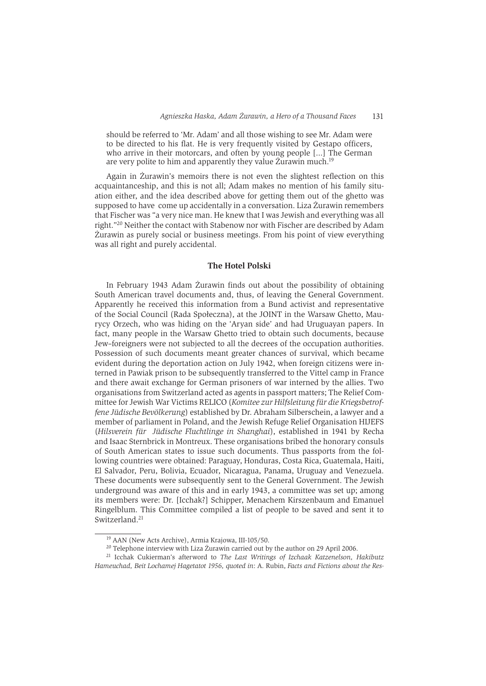should be referred to 'Mr. Adam' and all those wishing to see Mr. Adam were to be directed to his flat. He is very frequently visited by Gestapo officers, who arrive in their motorcars, and often by young people [...] The German are very polite to him and apparently they value Zurawin much.<sup>19</sup>

Again in Żurawin's memoirs there is not even the slightest reflection on this acquaintanceship, and this is not all; Adam makes no mention of his family situation either, and the idea described above for getting them out of the ghetto was supposed to have come up accidentally in a conversation. Liza Zurawin remembers that Fischer was "a very nice man. He knew that I was Jewish and everything was all right."<sup>20</sup> Neither the contact with Stabenow nor with Fischer are described by Adam Żurawin as purely social or business meetings. From his point of view everything was all right and purely accidental.

# The Hotel Polski

In February 1943 Adam Żurawin finds out about the possibility of obtaining South American travel documents and, thus, of leaving the General Government. Apparently he received this information from a Bund activist and representative of the Social Council (Rada Społeczna), at the JOINT in the Warsaw Ghetto, Maurycy Orzech, who was hiding on the 'Aryan side' and had Uruguayan papers. In fact, many people in the Warsaw Ghetto tried to obtain such documents, because Jew-foreigners were not subjected to all the decrees of the occupation authorities. Possession of such documents meant greater chances of survival, which became evident during the deportation action on July 1942, when foreign citizens were interned in Pawiak prison to be subsequently transferred to the Vittel camp in France and there await exchange for German prisoners of war interned by the allies. Two organisations from Switzerland acted as agents in passport matters; The Relief Committee for Jewish War Victims RELICO (Komitee zur Hilfsleitung für die Kriegsbetroffene Jüdische Bevölkerung) established by Dr. Abraham Silberschein, a lawyer and a member of parliament in Poland, and the Jewish Refuge Relief Organisation HIJEFS (Hilsverein für Jüdische Fluchtlinge in Shanghai), established in 1941 by Recha and Isaac Sternbrick in Montreux. These organisations bribed the honorary consuls of South American states to issue such documents. Thus passports from the following countries were obtained: Paraguay, Honduras, Costa Rica, Guatemala, Haiti, El Salvador, Peru, Bolivia, Ecuador, Nicaragua, Panama, Uruguay and Venezuela. These documents were subsequently sent to the General Government. The Jewish underground was aware of this and in early 1943, a committee was set up; among its members were: Dr. [Icchak?] Schipper, Menachem Kirszenbaum and Emanuel Ringelblum. This Committee compiled a list of people to be saved and sent it to Switzerland.<sup>21</sup>

<sup>&</sup>lt;sup>19</sup> AAN (New Acts Archive), Armia Krajowa, III-105/50.

<sup>&</sup>lt;sup>20</sup> Telephone interview with Liza Zurawin carried out by the author on 29 April 2006.

<sup>&</sup>lt;sup>21</sup> Icchak Cukierman's afterword to The Last Writings of Izchaak Katzenelson, Hakibutz Hameuchad, Beit Lochamej Hagetatot 1956, quoted in: A. Rubin, Facts and Fictions about the Res-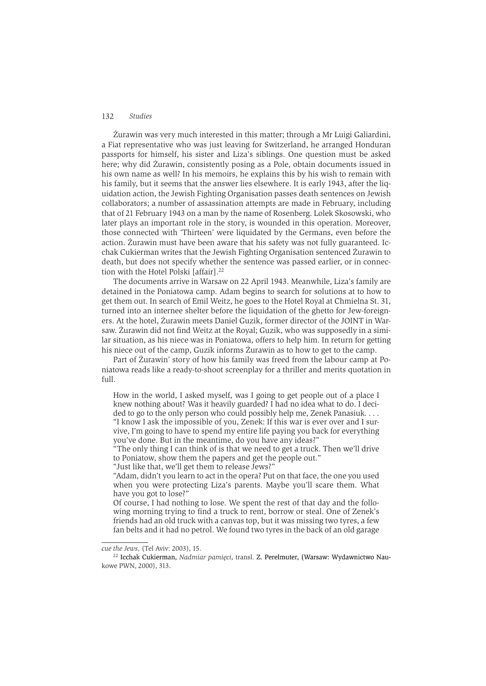Żurawin was very much interested in this matter; through a Mr Luigi Galiardini, a Fiat representative who was just leaving for Switzerland, he arranged Honduran passports for himself, his sister and Liza's siblings. One question must be asked here; why did Żurawin, consistently posing as a Pole, obtain documents issued in his own name as well? In his memoirs, he explains this by his wish to remain with his family, but it seems that the answer lies elsewhere. It is early 1943, after the liguidation action, the Jewish Fighting Organisation passes death sentences on Jewish collaborators; a number of assassination attempts are made in February, including that of 21 February 1943 on a man by the name of Rosenberg, Lolek Skosowski, who later plays an important role in the story, is wounded in this operation. Moreover, those connected with 'Thirteen' were liquidated by the Germans, even before the action. Zurawin must have been aware that his safety was not fully guaranteed. Icchak Cukierman writes that the Jewish Fighting Organisation sentenced Żurawin to death, but does not specify whether the sentence was passed earlier, or in connection with the Hotel Polski [affair].<sup>22</sup>

The documents arrive in Warsaw on 22 April 1943. Meanwhile, Liza's family are detained in the Poniatowa camp. Adam begins to search for solutions at to how to get them out. In search of Emil Weitz, he goes to the Hotel Royal at Chmielna St. 31, turned into an internee shelter before the liquidation of the ghetto for Jew-foreigners. At the hotel, Żurawin meets Daniel Guzik, former director of the JOINT in Warsaw. Żurawin did not find Weitz at the Royal; Guzik, who was supposedly in a similar situation, as his niece was in Poniatowa, offers to help him. In return for getting his niece out of the camp, Guzik informs Zurawin as to how to get to the camp.

Part of Żurawin' story of how his family was freed from the labour camp at Poniatowa reads like a ready-to-shoot screenplay for a thriller and merits quotation in full.

How in the world, I asked myself, was I going to get people out of a place I knew nothing about? Was it heavily guarded? I had no idea what to do. I decided to go to the only person who could possibly help me, Zenek Panasiuk.... "I know I ask the impossible of you, Zenek: If this war is ever over and I survive, I'm going to have to spend my entire life paying you back for everything you've done. But in the meantime, do you have any ideas?"

"The only thing I can think of is that we need to get a truck. Then we'll drive to Poniatow, show them the papers and get the people out."

"Just like that, we'll get them to release Jews?"

"Adam, didn't you learn to act in the opera? Put on that face, the one you used when you were protecting Liza's parents. Maybe you'll scare them. What have you got to lose?"

Of course, I had nothing to lose. We spent the rest of that day and the following morning trying to find a truck to rent, borrow or steal. One of Zenek's friends had an old truck with a canvas top, but it was missing two tyres, a few fan belts and it had no petrol. We found two tyres in the back of an old garage

cue the Jews, (Tel Aviv: 2003), 15.

<sup>&</sup>lt;sup>22</sup> Icchak Cukierman, Nadmiar pamięci, transl. Z. Perelmuter, (Warsaw: Wydawnictwo Naukowe PWN, 2000), 313.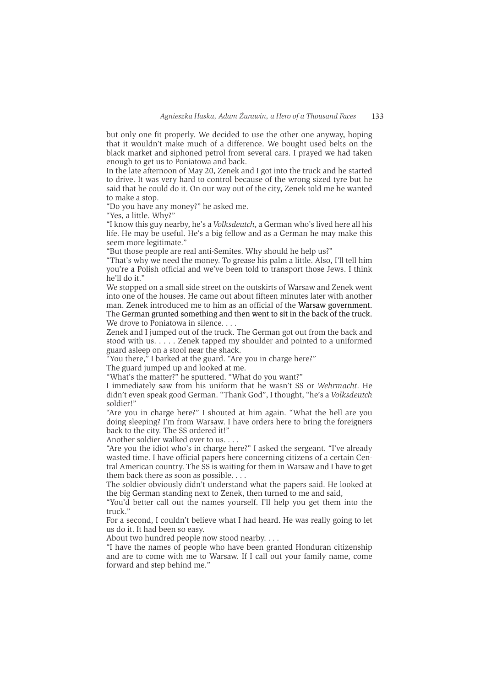but only one fit properly. We decided to use the other one anyway, hoping that it wouldn't make much of a difference. We bought used belts on the black market and siphoned petrol from several cars. I prayed we had taken enough to get us to Poniatowa and back.

In the late afternoon of May 20, Zenek and I got into the truck and he started to drive. It was very hard to control because of the wrong sized tyre but he said that he could do it. On our way out of the city, Zenek told me he wanted to make a stop.

"Do you have any money?" he asked me.

"Yes, a little. Why?"

"I know this guy nearby, he's a *Volksdeutch*, a German who's lived here all his life. He may be useful. He's a big fellow and as a German he may make this seem more legitimate."

"But those people are real anti-Semites. Why should he help us?"

"That's why we need the money. To grease his palm a little. Also, I'll tell him you're a Polish official and we've been told to transport those Jews. I think he'll do it."

We stopped on a small side street on the outskirts of Warsaw and Zenek went into one of the houses. He came out about fifteen minutes later with another man. Zenek introduced me to him as an official of the Warsaw government. The German grunted something and then went to sit in the back of the truck. We drove to Poniatowa in silence....

Zenek and I jumped out of the truck. The German got out from the back and stood with us. . . . . Zenek tapped my shoulder and pointed to a uniformed guard asleep on a stool near the shack.

"You there," I barked at the guard. "Are you in charge here?"

The guard jumped up and looked at me.

"What's the matter?" he sputtered. "What do you want?"

I immediately saw from his uniform that he wasn't SS or Wehrmacht. He didn't even speak good German. "Thank God", I thought, "he's a Volksdeutch soldier!"

"Are you in charge here?" I shouted at him again. "What the hell are you doing sleeping? I'm from Warsaw. I have orders here to bring the foreigners back to the city. The SS ordered it!"

Another soldier walked over to us. . . .

"Are you the idiot who's in charge here?" I asked the sergeant. "I've already wasted time. I have official papers here concerning citizens of a certain Central American country. The SS is waiting for them in Warsaw and I have to get them back there as soon as possible...

The soldier obviously didn't understand what the papers said. He looked at the big German standing next to Zenek, then turned to me and said,

"You'd better call out the names yourself. I'll help you get them into the truck."

For a second, I couldn't believe what I had heard. He was really going to let us do it. It had been so easy.

About two hundred people now stood nearby....

"I have the names of people who have been granted Honduran citizenship and are to come with me to Warsaw. If I call out your family name, come forward and step behind me."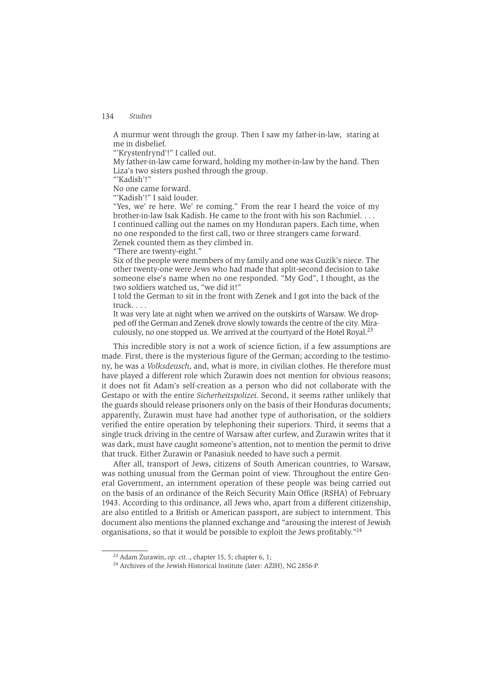A murmur went through the group. Then I saw my father-in-law, staring at me in disbelief.

"Krystenfrynd'!" I called out.

My father-in-law came forward, holding my mother-in-law by the hand. Then Liza's two sisters pushed through the group.

"'Kadish'!"

No one came forward.

"Kadish'!" I said louder.

"Yes, we' re here. We' re coming." From the rear I heard the voice of my brother-in-law Isak Kadish. He came to the front with his son Rachmiel. . . . I continued calling out the names on my Honduran papers. Each time, when no one responded to the first call, two or three strangers came forward.

Zenek counted them as they climbed in.

"There are twenty-eight."

Six of the people were members of my family and one was Guzik's niece. The other twenty-one were Jews who had made that split-second decision to take someone else's name when no one responded. "My God", I thought, as the two soldiers watched us, "we did it!"

I told the German to sit in the front with Zenek and I got into the back of the truck....

It was very late at night when we arrived on the outskirts of Warsaw. We dropped off the German and Zenek drove slowly towards the centre of the city. Miraculously, no one stopped us. We arrived at the courtyard of the Hotel Royal.<sup>23</sup>

This incredible story is not a work of science fiction, if a few assumptions are made. First, there is the mysterious figure of the German; according to the testimony, he was a *Volksdeusch*, and, what is more, in civilian clothes. He therefore must have played a different role which Żurawin does not mention for obvious reasons; it does not fit Adam's self-creation as a person who did not collaborate with the Gestapo or with the entire Sicherheitspolizei. Second, it seems rather unlikely that the guards should release prisoners only on the basis of their Honduras documents; apparently, Zurawin must have had another type of authorisation, or the soldiers verified the entire operation by telephoning their superiors. Third, it seems that a single truck driving in the centre of Warsaw after curfew, and Żurawin writes that it was dark, must have caught someone's attention, not to mention the permit to drive that truck. Either Żurawin or Panasiuk needed to have such a permit.

After all, transport of Jews, citizens of South American countries, to Warsaw, was nothing unusual from the German point of view. Throughout the entire General Government, an internment operation of these people was being carried out on the basis of an ordinance of the Reich Security Main Office (RSHA) of February 1943. According to this ordinance, all Jews who, apart from a different citizenship, are also entitled to a British or American passport, are subject to internment. This document also mentions the planned exchange and "arousing the interest of Jewish organisations, so that it would be possible to exploit the Jews profitably."<sup>24</sup>

 $23$  Adam Żurawin, op. cit.., chapter 15, 5; chapter 6, 1;

<sup>&</sup>lt;sup>24</sup> Archives of the Jewish Historical Institute (later: AZIH), NG 2856-P.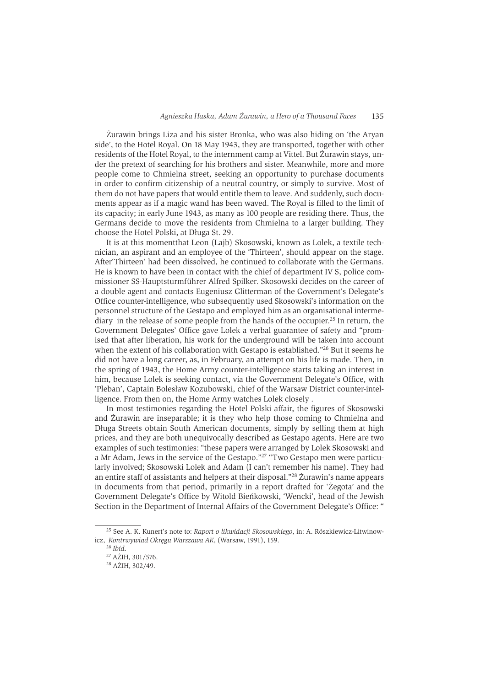Żurawin brings Liza and his sister Bronka, who was also hiding on 'the Arvan side', to the Hotel Royal, On 18 May 1943, they are transported, together with other residents of the Hotel Royal, to the internment camp at Vittel. But Żurawin stays, under the pretext of searching for his brothers and sister. Meanwhile, more and more people come to Chmielna street, seeking an opportunity to purchase documents in order to confirm citizenship of a neutral country, or simply to survive. Most of them do not have papers that would entitle them to leave. And suddenly, such documents appear as if a magic wand has been waved. The Royal is filled to the limit of its capacity; in early June 1943, as many as 100 people are residing there. Thus, the Germans decide to move the residents from Chmielna to a larger building. They choose the Hotel Polski, at Długa St. 29.

It is at this momentthat Leon (Laib) Skosowski, known as Lolek, a textile technician, an aspirant and an employee of the 'Thirteen', should appear on the stage. After Thirteen' had been dissolved, he continued to collaborate with the Germans. He is known to have been in contact with the chief of department IV S, police commissioner SS-Hauptsturmführer Alfred Spilker. Skosowski decides on the career of a double agent and contacts Eugeniusz Glitterman of the Government's Delegate's Office counter-intelligence, who subsequently used Skosowski's information on the personnel structure of the Gestapo and employed him as an organisational intermediary in the release of some people from the hands of the occupier.<sup>25</sup> In return, the Government Delegates' Office gave Lolek a verbal guarantee of safety and "promised that after liberation, his work for the underground will be taken into account when the extent of his collaboration with Gestapo is established."26 But it seems he did not have a long career, as, in February, an attempt on his life is made. Then. in the spring of 1943, the Home Army counter-intelligence starts taking an interest in him, because Lolek is seeking contact, via the Government Delegate's Office, with 'Pleban', Captain Bolesław Kozubowski, chief of the Warsaw District counter-intelligence. From then on, the Home Army watches Lolek closely.

In most testimonies regarding the Hotel Polski affair, the figures of Skosowski and Zurawin are inseparable; it is they who help those coming to Chmielna and Długa Streets obtain South American documents, simply by selling them at high prices, and they are both unequivocally described as Gestapo agents. Here are two examples of such testimonies: "these papers were arranged by Lolek Skosowski and a Mr Adam, Jews in the service of the Gestapo."<sup>27</sup> "Two Gestapo men were particularly involved; Skosowski Lolek and Adam (I can't remember his name). They had an entire staff of assistants and helpers at their disposal."<sup>28</sup> Zurawin's name appears in documents from that period, primarily in a report drafted for 'Żegota' and the Government Delegate's Office by Witold Bieńkowski, 'Wencki', head of the Jewish Section in the Department of Internal Affairs of the Government Delegate's Office: "

<sup>&</sup>lt;sup>25</sup> See A. K. Kunert's note to: Raport o likwidacji Skosowskiego, in: A. Rószkiewicz-Litwinowicz, Kontrwywiad Okregu Warszawa AK, (Warsaw, 1991), 159.

 $26$  Ibid.

<sup>&</sup>lt;sup>27</sup> AŻIH, 301/576.

<sup>&</sup>lt;sup>28</sup> AŻIH, 302/49.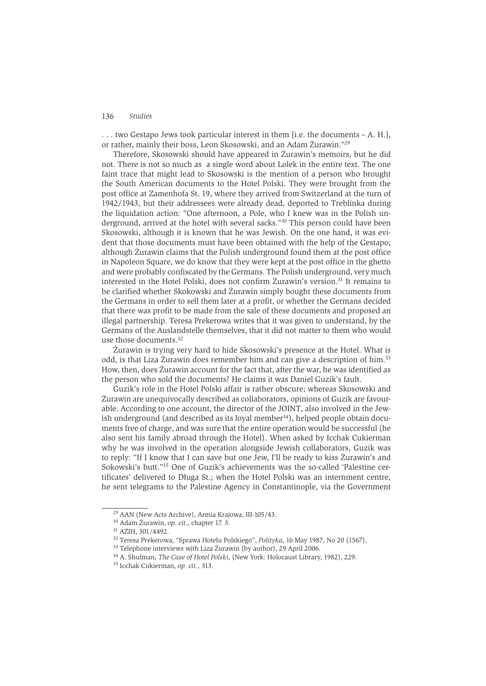... two Gestapo Jews took particular interest in them [i.e. the documents – A. H.]. or rather, mainly their boss, Leon Skosowski, and an Adam Żurawin."29

Therefore, Skosowski should have appeared in Żurawin's memoirs, but he did not. There is not so much as a single word about Lolek in the entire text. The one faint trace that might lead to Skosowski is the mention of a person who brought the South American documents to the Hotel Polski. They were brought from the post office at Zamenhofa St. 19, where they arrived from Switzerland at the turn of 1942/1943, but their addressees were already dead, deported to Treblinka during the liquidation action: "One afternoon, a Pole, who I knew was in the Polish underground, arrived at the hotel with several sacks."<sup>30</sup> This person could have been Skosowski, although it is known that he was Jewish. On the one hand, it was evident that those documents must have been obtained with the help of the Gestapo; although Zurawin claims that the Polish underground found them at the post office in Napoleon Square, we do know that they were kept at the post office in the ghetto and were probably confiscated by the Germans. The Polish underground, very much interested in the Hotel Polski, does not confirm Zurawin's version.<sup>31</sup> It remains to be clarified whether Skokowski and Żurawin simply bought these documents from the Germans in order to sell them later at a profit, or whether the Germans decided that there was profit to be made from the sale of these documents and proposed an illegal partnership. Teresa Prekerowa writes that it was given to understand, by the Germans of the Auslandstelle themselves, that it did not matter to them who would use those documents.<sup>32</sup>

Żurawin is trying very hard to hide Skosowski's presence at the Hotel. What is odd, is that Liza Żurawin does remember him and can give a description of him.<sup>33</sup> How, then, does Żurawin account for the fact that, after the war, he was identified as the person who sold the documents? He claims it was Daniel Guzik's fault.

Guzik's role in the Hotel Polski affair is rather obscure: whereas Skosowski and Żurawin are unequivocally described as collaborators, opinions of Guzik are favourable. According to one account, the director of the JOINT, also involved in the Jewish underground (and described as its loval member<sup>34</sup>), helped people obtain documents free of charge, and was sure that the entire operation would be successful (he also sent his family abroad through the Hotel). When asked by Icchak Cukierman why he was involved in the operation alongside Jewish collaborators, Guzik was to reply: "If I know that I can save but one Jew. I'll be ready to kiss Zurawin's and Sokowski's butt."35 One of Guzik's achievements was the so-called 'Palestine certificates' delivered to Długa St.; when the Hotel Polski was an internment centre, he sent telegrams to the Palestine Agency in Constantinople, via the Government

<sup>&</sup>lt;sup>29</sup> AAN (New Acts Archive), Armia Krajowa, III-105/43.

<sup>&</sup>lt;sup>30</sup> Adam Żurawin, op. cit., chapter 17. 3.

<sup>&</sup>lt;sup>31</sup> AŻIH, 301/4492.

<sup>&</sup>lt;sup>32</sup> Teresa Prekerowa, "Sprawa Hotelu Polskiego", Polityka, 16 May 1987, No 20 (1567).

<sup>&</sup>lt;sup>33</sup> Telephone interviews with Liza Żurawin (by author), 29 April 2006.

<sup>&</sup>lt;sup>34</sup> A. Shulman, The Case of Hotel Polski, (New York: Holocaust Library, 1982), 229.

<sup>&</sup>lt;sup>35</sup> Icchak Cukierman, op. cit., 313.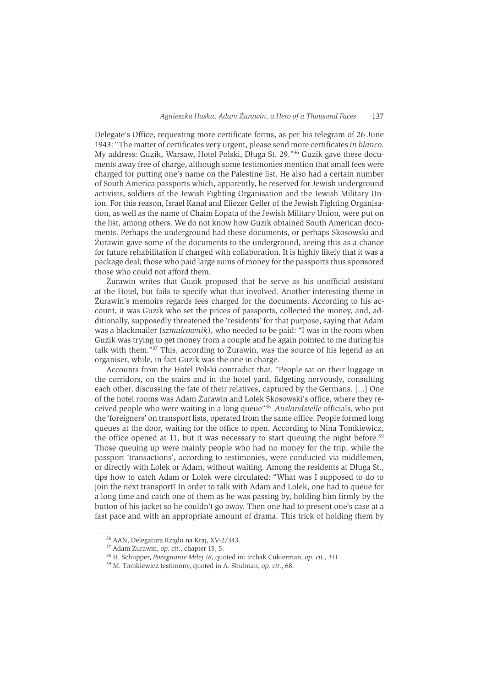Delegate's Office, requesting more certificate forms, as per his telegram of 26 June 1943: "The matter of certificates very urgent, please send more certificates in blanco. My address: Guzik, Warsaw, Hotel Polski, Długa St. 29."<sup>36</sup> Guzik gave these documents away free of charge, although some testimonies mention that small fees were charged for putting one's name on the Palestine list. He also had a certain number of South America passports which, apparently, he reserved for Jewish underground activists, soldiers of the Jewish Fighting Organisation and the Jewish Military Union. For this reason, Israel Kanał and Eliezer Geller of the Jewish Fighting Organisation, as well as the name of Chaim Lopata of the Jewish Military Union, were put on the list, among others. We do not know how Guzik obtained South American documents. Perhaps the underground had these documents, or perhaps Skosowski and Zurawin gave some of the documents to the underground, seeing this as a chance for future rehabilitation if charged with collaboration. It is highly likely that it was a package deal; those who paid large sums of money for the passports thus sponsored those who could not afford them.

Żurawin writes that Guzik proposed that he serve as his unofficial assistant at the Hotel, but fails to specify what that involved. Another interesting theme in Żurawin's memoirs regards fees charged for the documents. According to his account, it was Guzik who set the prices of passports, collected the money, and, additionally, supposedly threatened the 'residents' for that purpose, saying that Adam was a blackmailer (szmalcownik), who needed to be paid: "I was in the room when Guzik was trying to get money from a couple and he again pointed to me during his talk with them."<sup>37</sup> This, according to Zurawin, was the source of his legend as an organiser, while, in fact Guzik was the one in charge.

Accounts from the Hotel Polski contradict that. "People sat on their luggage in the corridors, on the stairs and in the hotel yard, fidgeting nervously, consulting each other, discussing the fate of their relatives, captured by the Germans, [...] One of the hotel rooms was Adam Żurawin and Lolek Skosowski's office, where they received people who were waiting in a long queue"<sup>38</sup> Auslandstelle officials, who put the 'foreigners' on transport lists, operated from the same office. People formed long queues at the door, waiting for the office to open. According to Nina Tomkiewicz, the office opened at 11, but it was necessary to start queuing the night before.<sup>39</sup> Those queuing up were mainly people who had no money for the trip, while the passport 'transactions', according to testimonies, were conducted via middlemen, or directly with Lolek or Adam, without waiting. Among the residents at Długa St., tips how to catch Adam or Lolek were circulated: "What was I supposed to do to join the next transport? In order to talk with Adam and Lolek, one had to queue for a long time and catch one of them as he was passing by, holding him firmly by the button of his jacket so he couldn't go away. Then one had to present one's case at a fast pace and with an appropriate amount of drama. This trick of holding them by

<sup>36</sup> AAN, Delegatura Rzadu na Kraj, XV-2/343.

<sup>&</sup>lt;sup>37</sup> Adam Żurawin, op. cit., chapter 15, 5.

<sup>&</sup>lt;sup>38</sup> H. Schupper, *Pożegnanie Miłej 18*, quoted in: Icchak Cukierman, op. cit., 311

<sup>&</sup>lt;sup>39</sup> M. Tomkiewicz testimony, quoted in A. Shulman, op. cit., 68.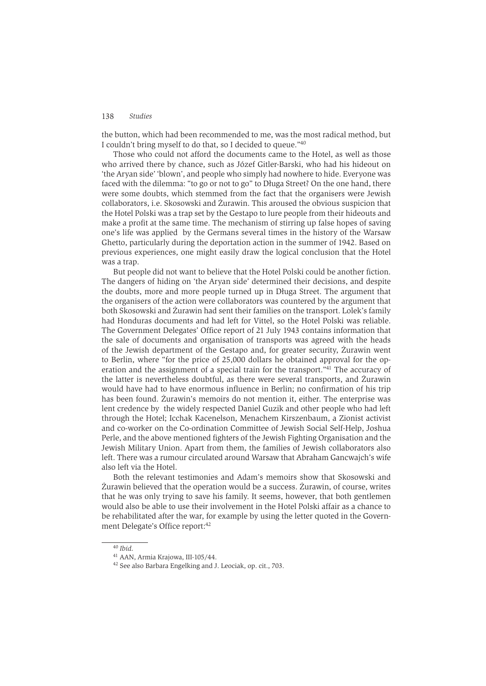the button, which had been recommended to me, was the most radical method, but I couldn't bring myself to do that, so I decided to queue."40

Those who could not afford the documents came to the Hotel, as well as those who arrived there by chance, such as Józef Gitler-Barski, who had his hideout on 'the Aryan side' 'blown', and people who simply had nowhere to hide. Everyone was faced with the dilemma: "to go or not to go" to Długa Street? On the one hand, there were some doubts, which stemmed from the fact that the organisers were Jewish collaborators, *i.e.* Skosowski and Żurawin. This aroused the obvious suspicion that the Hotel Polski was a trap set by the Gestapo to lure people from their hideouts and make a profit at the same time. The mechanism of stirring up false hopes of saving one's life was applied by the Germans several times in the history of the Warsaw Ghetto, particularly during the deportation action in the summer of 1942. Based on previous experiences, one might easily draw the logical conclusion that the Hotel was a trap.

But people did not want to believe that the Hotel Polski could be another fiction. The dangers of hiding on 'the Arvan side' determined their decisions, and despite the doubts, more and more people turned up in Długa Street. The argument that the organisers of the action were collaborators was countered by the argument that both Skosowski and Żurawin had sent their families on the transport. Lolek's family had Honduras documents and had left for Vittel, so the Hotel Polski was reliable. The Government Delegates' Office report of 21 July 1943 contains information that the sale of documents and organisation of transports was agreed with the heads of the Jewish department of the Gestapo and, for greater security, Zurawin went to Berlin, where "for the price of 25,000 dollars he obtained approval for the operation and the assignment of a special train for the transport."<sup>41</sup> The accuracy of the latter is nevertheless doubtful, as there were several transports, and Żurawin would have had to have enormous influence in Berlin: no confirmation of his trip has been found. Zurawin's memoirs do not mention it, either. The enterprise was lent credence by the widely respected Daniel Guzik and other people who had left through the Hotel: Icchak Kacenelson, Menachem Kirszenbaum, a Zionist activist and co-worker on the Co-ordination Committee of Jewish Social Self-Help, Joshua Perle, and the above mentioned fighters of the Jewish Fighting Organisation and the Jewish Military Union. Apart from them, the families of Jewish collaborators also left. There was a rumour circulated around Warsaw that Abraham Gancwaich's wife also left via the Hotel.

Both the relevant testimonies and Adam's memoirs show that Skosowski and Żurawin believed that the operation would be a success. Żurawin, of course, writes that he was only trying to save his family. It seems, however, that both gentlemen would also be able to use their involvement in the Hotel Polski affair as a chance to be rehabilitated after the war, for example by using the letter quoted in the Government Delegate's Office report:42

 $40$  Ihid.

<sup>&</sup>lt;sup>41</sup> AAN, Armia Krajowa, III-105/44.

<sup>&</sup>lt;sup>42</sup> See also Barbara Engelking and J. Leociak, op. cit., 703.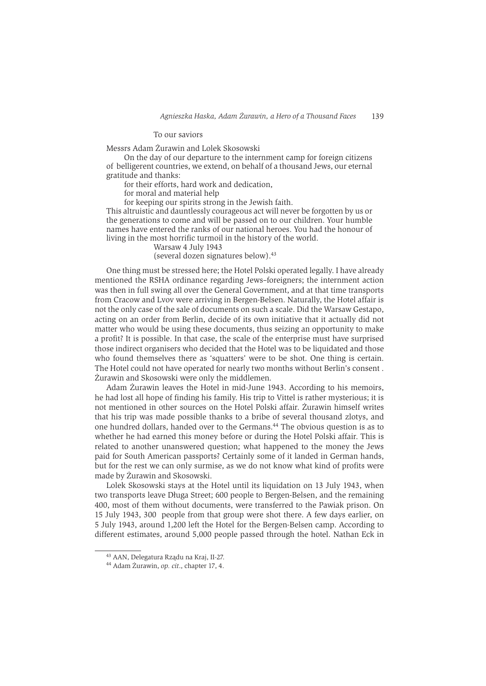### To our saviors

Messrs Adam Żurawin and Lolek Skosowski

On the day of our departure to the internment camp for foreign citizens of belligerent countries, we extend, on behalf of a thousand Jews, our eternal gratitude and thanks:

for their efforts, hard work and dedication,

for moral and material help

for keeping our spirits strong in the Jewish faith.

This altruistic and dauntlessly courageous act will never be forgotten by us or the generations to come and will be passed on to our children. Your humble names have entered the ranks of our national heroes. You had the honour of living in the most horrific turmoil in the history of the world.

Warsaw 4 July 1943

(several dozen signatures below).<sup>43</sup>

One thing must be stressed here; the Hotel Polski operated legally. I have already mentioned the RSHA ordinance regarding Jews-foreigners; the internment action was then in full swing all over the General Government, and at that time transports from Cracow and Lvov were arriving in Bergen-Belsen. Naturally, the Hotel affair is not the only case of the sale of documents on such a scale. Did the Warsaw Gestapo, acting on an order from Berlin, decide of its own initiative that it actually did not matter who would be using these documents, thus seizing an opportunity to make a profit? It is possible. In that case, the scale of the enterprise must have surprised those indirect organisers who decided that the Hotel was to be liquidated and those who found themselves there as 'squatters' were to be shot. One thing is certain. The Hotel could not have operated for nearly two months without Berlin's consent. Żurawin and Skosowski were only the middlemen.

Adam Żurawin leaves the Hotel in mid-June 1943. According to his memoirs, he had lost all hope of finding his family. His trip to Vittel is rather mysterious; it is not mentioned in other sources on the Hotel Polski affair. Zurawin himself writes that his trip was made possible thanks to a bribe of several thousand zlotys, and one hundred dollars, handed over to the Germans.<sup>44</sup> The obvious question is as to whether he had earned this money before or during the Hotel Polski affair. This is related to another unanswered question; what happened to the money the Jews paid for South American passports? Certainly some of it landed in German hands, but for the rest we can only surmise, as we do not know what kind of profits were made by Żurawin and Skosowski.

Lolek Skosowski stays at the Hotel until its liquidation on 13 July 1943, when two transports leave Długa Street; 600 people to Bergen-Belsen, and the remaining 400, most of them without documents, were transferred to the Pawiak prison. On 15 July 1943, 300 people from that group were shot there. A few days earlier, on 5 July 1943, around 1,200 left the Hotel for the Bergen-Belsen camp. According to different estimates, around 5,000 people passed through the hotel. Nathan Eck in

<sup>&</sup>lt;sup>43</sup> AAN, Delegatura Rządu na Kraj, II-27.

<sup>&</sup>lt;sup>44</sup> Adam Żurawin, op. cit., chapter 17, 4.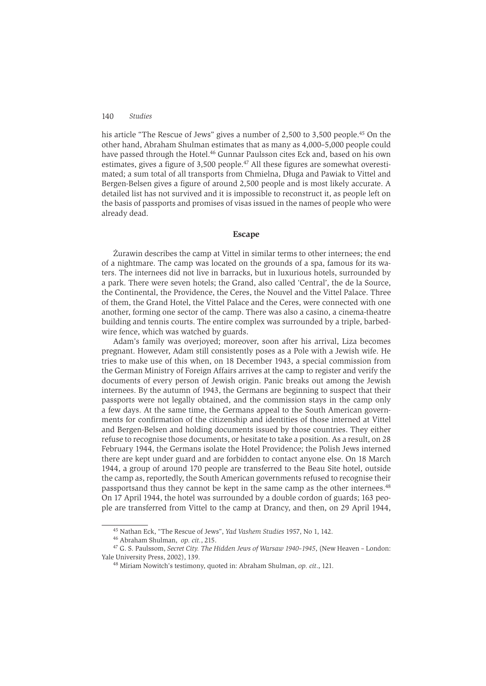his article "The Rescue of Jews" gives a number of 2,500 to 3,500 people.<sup>45</sup> On the other hand, Abraham Shulman estimates that as many as 4,000–5,000 people could have passed through the Hotel.<sup>46</sup> Gunnar Paulsson cites Eck and, based on his own estimates, gives a figure of 3,500 people.<sup>47</sup> All these figures are somewhat overestimated; a sum total of all transports from Chmielna, Długa and Pawiak to Vittel and Bergen-Belsen gives a figure of around 2.500 people and is most likely accurate. A detailed list has not survived and it is impossible to reconstruct it, as people left on the basis of passports and promises of visas issued in the names of people who were already dead.

### **Escape**

Żurawin describes the camp at Vittel in similar terms to other internees; the end of a nightmare. The camp was located on the grounds of a spa, famous for its waters. The internees did not live in barracks, but in luxurious hotels, surrounded by a park. There were seven hotels: the Grand, also called 'Central', the de la Source, the Continental, the Providence, the Ceres, the Nouvel and the Vittel Palace. Three of them, the Grand Hotel, the Vittel Palace and the Ceres, were connected with one another, forming one sector of the camp. There was also a casino, a cinema-theatre building and tennis courts. The entire complex was surrounded by a triple, barbedwire fence, which was watched by guards.

Adam's family was overjoyed; moreover, soon after his arrival, Liza becomes pregnant. However, Adam still consistently poses as a Pole with a Jewish wife. He tries to make use of this when, on 18 December 1943, a special commission from the German Ministry of Foreign Affairs arrives at the camp to register and verify the documents of every person of Jewish origin. Panic breaks out among the Jewish internees. By the autumn of 1943, the Germans are beginning to suspect that their passports were not legally obtained, and the commission stays in the camp only a few days. At the same time, the Germans appeal to the South American governments for confirmation of the citizenship and identities of those interned at Vittel and Bergen-Belsen and holding documents issued by those countries. They either refuse to recognise those documents, or hesitate to take a position. As a result, on 28 February 1944, the Germans isolate the Hotel Providence; the Polish Jews interned there are kept under guard and are forbidden to contact anyone else. On 18 March 1944, a group of around 170 people are transferred to the Beau Site hotel, outside the camp as, reportedly, the South American governments refused to recognise their passportsand thus they cannot be kept in the same camp as the other internees.<sup>48</sup> On 17 April 1944, the hotel was surrounded by a double cordon of guards; 163 people are transferred from Vittel to the camp at Drancy, and then, on 29 April 1944,

<sup>&</sup>lt;sup>45</sup> Nathan Eck, "The Rescue of Jews", Yad Vashem Studies 1957, No 1, 142.

<sup>&</sup>lt;sup>46</sup> Abraham Shulman, op. cit., 215.

<sup>&</sup>lt;sup>47</sup> G. S. Paulssom, Secret City. The Hidden Jews of Warsaw 1940-1945, (New Heaven - London: Yale University Press, 2002), 139.

<sup>&</sup>lt;sup>48</sup> Miriam Nowitch's testimony, quoted in: Abraham Shulman, op. cit., 121.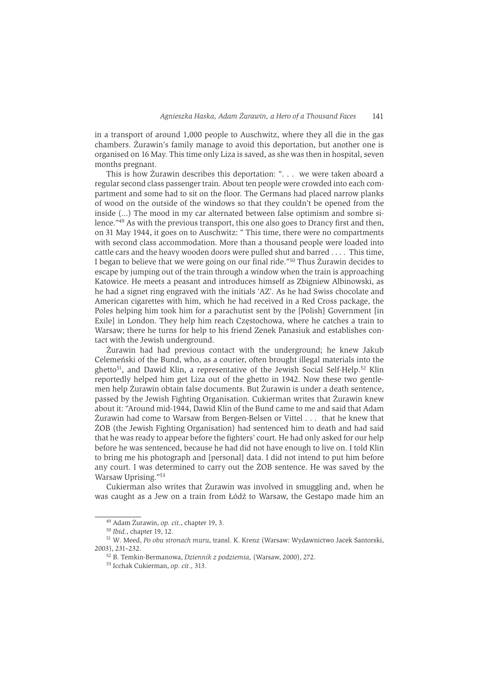in a transport of around 1,000 people to Auschwitz, where they all die in the gas chambers. Żurawin's family manage to avoid this deportation, but another one is organised on 16 May. This time only Liza is saved, as she was then in hospital, seven months pregnant.

This is how Żurawin describes this deportation: ". . . we were taken aboard a regular second class passenger train. About ten people were crowded into each compartment and some had to sit on the floor. The Germans had placed narrow planks of wood on the outside of the windows so that they couldn't be opened from the inside (...) The mood in my car alternated between false optimism and sombre silence."49 As with the previous transport, this one also goes to Drancy first and then, on 31 May 1944, it goes on to Auschwitz: "This time, there were no compartments with second class accommodation. More than a thousand people were loaded into cattle cars and the heavy wooden doors were pulled shut and barred . . . . This time, I began to believe that we were going on our final ride."<sup>50</sup> Thus Zurawin decides to escape by jumping out of the train through a window when the train is approaching Katowice. He meets a peasant and introduces himself as Zbigniew Albinowski, as he had a signet ring engraved with the initials 'AZ'. As he had Swiss chocolate and American cigarettes with him, which he had received in a Red Cross package, the Poles helping him took him for a parachutist sent by the [Polish] Government [in Exile] in London. They help him reach Czestochowa, where he catches a train to Warsaw: there he turns for help to his friend Zenek Panasiuk and establishes contact with the Jewish underground.

Żurawin had had previous contact with the underground; he knew Jakub Celemeński of the Bund, who, as a courier, often brought illegal materials into the ghetto<sup>51</sup>, and Dawid Klin, a representative of the Jewish Social Self-Help.<sup>52</sup> Klin reportedly helped him get Liza out of the ghetto in 1942. Now these two gentlemen help Żurawin obtain false documents. But Żurawin is under a death sentence. passed by the Jewish Fighting Organisation. Cukierman writes that Żurawin knew about it: "Around mid-1944, Dawid Klin of the Bund came to me and said that Adam Zurawin had come to Warsaw from Bergen-Belsen or Vittel . . . that he knew that ŻOB (the Jewish Fighting Organisation) had sentenced him to death and had said that he was ready to appear before the fighters' court. He had only asked for our help before he was sentenced, because he had did not have enough to live on. I told Klin to bring me his photograph and [personal] data. I did not intend to put him before any court. I was determined to carry out the ŻOB sentence. He was saved by the Warsaw Uprising."53

Cukierman also writes that Żurawin was involved in smuggling and, when he was caught as a Jew on a train from Łódź to Warsaw, the Gestapo made him an

<sup>&</sup>lt;sup>49</sup> Adam Żurawin, op. cit., chapter 19, 3.

<sup>&</sup>lt;sup>50</sup> Ibid., chapter 19, 12.

<sup>&</sup>lt;sup>51</sup> W. Meed, Po obu stronach muru, transl. K. Krenz (Warsaw: Wydawnictwo Jacek Santorski, 2003), 231-232.

<sup>&</sup>lt;sup>52</sup> B. Temkin-Bermanowa, *Dziennik z podziemia*, (Warsaw, 2000), 272.

<sup>&</sup>lt;sup>53</sup> Icchak Cukierman, op. cit., 313.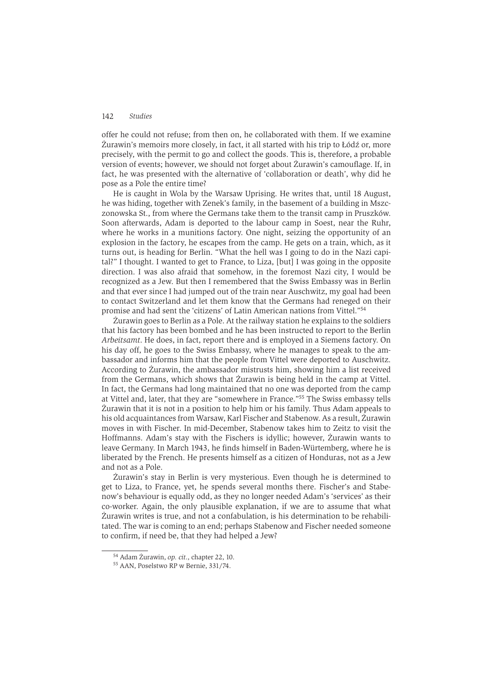offer he could not refuse; from then on, he collaborated with them. If we examine Żurawin's memoirs more closely, in fact, it all started with his trip to Łódź or, more precisely, with the permit to go and collect the goods. This is, therefore, a probable version of events; however, we should not forget about Zurawin's camouflage. If, in fact, he was presented with the alternative of 'collaboration or death', why did he pose as a Pole the entire time?

He is caught in Wola by the Warsaw Uprising. He writes that, until 18 August, he was hiding, together with Zenek's family, in the basement of a building in Mszczonowska St., from where the Germans take them to the transit camp in Pruszków. Soon afterwards, Adam is deported to the labour camp in Soest, near the Ruhr, where he works in a munitions factory. One night, seizing the opportunity of an explosion in the factory, he escapes from the camp. He gets on a train, which, as it turns out, is heading for Berlin. "What the hell was I going to do in the Nazi capital?" I thought. I wanted to get to France, to Liza, [but] I was going in the opposite direction. I was also afraid that somehow, in the foremost Nazi city, I would be recognized as a Jew. But then I remembered that the Swiss Embassy was in Berlin and that ever since I had jumped out of the train near Auschwitz, my goal had been to contact Switzerland and let them know that the Germans had reneged on their promise and had sent the 'citizens' of Latin American nations from Vittel."<sup>54</sup>

Żurawin goes to Berlin as a Pole. At the railway station he explains to the soldiers that his factory has been bombed and he has been instructed to report to the Berlin Arbeitsamt. He does, in fact, report there and is employed in a Siemens factory. On his day off, he goes to the Swiss Embassy, where he manages to speak to the ambassador and informs him that the people from Vittel were deported to Auschwitz. According to Żurawin, the ambassador mistrusts him, showing him a list received from the Germans, which shows that Żurawin is being held in the camp at Vittel. In fact, the Germans had long maintained that no one was deported from the camp at Vittel and, later, that they are "somewhere in France."<sup>55</sup> The Swiss embassy tells Żurawin that it is not in a position to help him or his family. Thus Adam appeals to his old acquaintances from Warsaw, Karl Fischer and Stabenow. As a result, Żurawin moves in with Fischer. In mid-December, Stabenow takes him to Zeitz to visit the Hoffmanns. Adam's stay with the Fischers is idyllic; however, Żurawin wants to leave Germany. In March 1943, he finds himself in Baden-Würtemberg, where he is liberated by the French. He presents himself as a citizen of Honduras, not as a Jew and not as a Pole.

Żurawin's stay in Berlin is very mysterious. Even though he is determined to get to Liza, to France, yet, he spends several months there. Fischer's and Stabenow's behaviour is equally odd, as they no longer needed Adam's 'services' as their co-worker. Again, the only plausible explanation, if we are to assume that what Żurawin writes is true, and not a confabulation, is his determination to be rehabilitated. The war is coming to an end; perhaps Stabenow and Fischer needed someone to confirm, if need be, that they had helped a Jew?

<sup>&</sup>lt;sup>54</sup> Adam Żurawin, op. cit., chapter 22, 10.

<sup>&</sup>lt;sup>55</sup> AAN, Poselstwo RP w Bernie, 331/74.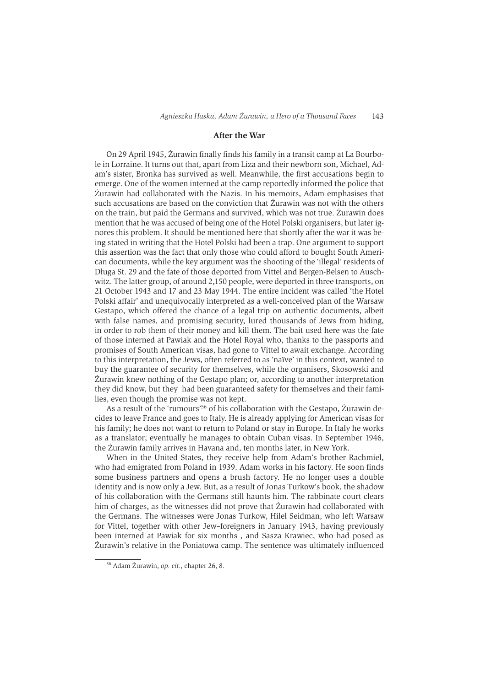## **After the War**

On 29 April 1945, Żurawin finally finds his family in a transit camp at La Bourbole in Lorraine. It turns out that, apart from Liza and their newborn son, Michael, Adam's sister, Bronka has survived as well. Meanwhile, the first accusations begin to emerge. One of the women interned at the camp reportedly informed the police that Żurawin had collaborated with the Nazis. In his memoirs, Adam emphasises that such accusations are based on the conviction that Zurawin was not with the others on the train, but paid the Germans and survived, which was not true. Zurawin does mention that he was accused of being one of the Hotel Polski organisers, but later ignores this problem. It should be mentioned here that shortly after the war it was being stated in writing that the Hotel Polski had been a trap. One argument to support this assertion was the fact that only those who could afford to bought South American documents, while the key argument was the shooting of the 'illegal' residents of Długa St. 29 and the fate of those deported from Vittel and Bergen-Belsen to Auschwitz. The latter group, of around 2.150 people, were deported in three transports, on 21 October 1943 and 17 and 23 May 1944. The entire incident was called 'the Hotel Polski affair' and unequivocally interpreted as a well-conceived plan of the Warsaw Gestapo, which offered the chance of a legal trip on authentic documents, albeit with false names, and promising security, lured thousands of Jews from hiding, in order to rob them of their money and kill them. The bait used here was the fate of those interned at Pawiak and the Hotel Royal who, thanks to the passports and promises of South American visas, had gone to Vittel to await exchange. According to this interpretation, the Jews, often referred to as 'naïve' in this context, wanted to buy the guarantee of security for themselves, while the organisers, Skosowski and Żurawin knew nothing of the Gestapo plan; or, according to another interpretation they did know, but they had been guaranteed safety for themselves and their families, even though the promise was not kept.

As a result of the 'rumours'<sup>56</sup> of his collaboration with the Gestapo, Żurawin decides to leave France and goes to Italy. He is already applying for American visas for his family; he does not want to return to Poland or stay in Europe. In Italy he works as a translator; eventually he manages to obtain Cuban visas. In September 1946, the Żurawin family arrives in Havana and, ten months later, in New York.

When in the United States, they receive help from Adam's brother Rachmiel. who had emigrated from Poland in 1939. Adam works in his factory. He soon finds some business partners and opens a brush factory. He no longer uses a double identity and is now only a Jew. But, as a result of Jonas Turkow's book, the shadow of his collaboration with the Germans still haunts him. The rabbinate court clears him of charges, as the witnesses did not prove that Zurawin had collaborated with the Germans. The witnesses were Jonas Turkow, Hilel Seidman, who left Warsaw for Vittel, together with other Jew-foreigners in January 1943, having previously been interned at Pawiak for six months, and Sasza Krawiec, who had posed as Żurawin's relative in the Poniatowa camp. The sentence was ultimately influenced

<sup>&</sup>lt;sup>56</sup> Adam Żurawin, op. cit., chapter 26, 8.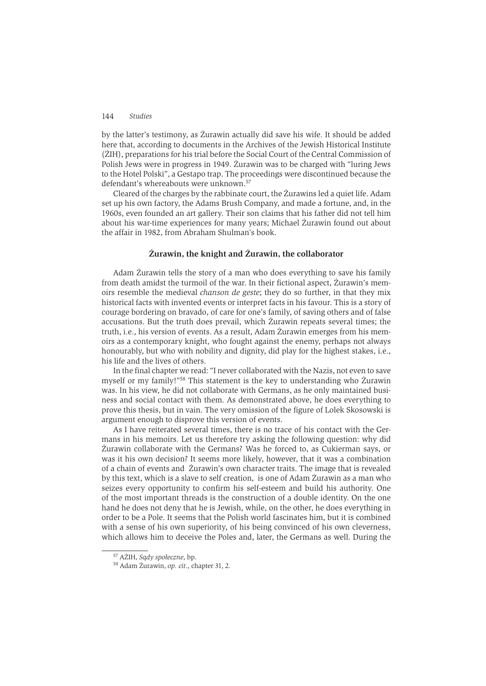by the latter's testimony, as Zurawin actually did save his wife. It should be added here that, according to documents in the Archives of the Jewish Historical Institute (ŻIH), preparations for his trial before the Social Court of the Central Commission of Polish Jews were in progress in 1949. Zurawin was to be charged with "luring Jews to the Hotel Polski", a Gestapo trap. The proceedings were discontinued because the defendant's whereabouts were unknown.<sup>57</sup>

Cleared of the charges by the rabbinate court, the Zurawins led a quiet life. Adam set up his own factory, the Adams Brush Company, and made a fortune, and, in the 1960s, even founded an art gallery. Their son claims that his father did not tell him about his war-time experiences for many years; Michael Żurawin found out about the affair in 1982, from Abraham Shulman's book.

# Żurawin, the knight and Żurawin, the collaborator

Adam Żurawin tells the story of a man who does everything to save his family from death amidst the turmoil of the war. In their fictional aspect, Zurawin's memoirs resemble the medieval *chanson de geste*; they do so further, in that they mix historical facts with invented events or interpret facts in his favour. This is a story of courage bordering on bravado, of care for one's family, of saving others and of false accusations. But the truth does prevail, which Zurawin repeats several times; the truth, *i.e.*, his version of events. As a result, Adam Zurawin emerges from his memoirs as a contemporary knight, who fought against the enemy, perhaps not always honourably, but who with nobility and dignity, did play for the highest stakes, i.e., his life and the lives of others.

In the final chapter we read: "I never collaborated with the Nazis, not even to save myself or my family!"<sup>58</sup> This statement is the key to understanding who Zurawin was. In his view, he did not collaborate with Germans, as he only maintained business and social contact with them. As demonstrated above, he does everything to prove this thesis, but in vain. The very omission of the figure of Lolek Skosowski is argument enough to disprove this version of events.

As I have reiterated several times, there is no trace of his contact with the Germans in his memoirs. Let us therefore try asking the following question: why did Żurawin collaborate with the Germans? Was he forced to, as Cukierman says, or was it his own decision? It seems more likely, however, that it was a combination of a chain of events and Zurawin's own character traits. The image that is revealed by this text, which is a slave to self creation, is one of Adam Zurawin as a man who seizes every opportunity to confirm his self-esteem and build his authority. One of the most important threads is the construction of a double identity. On the one hand he does not deny that he is Jewish, while, on the other, he does everything in order to be a Pole. It seems that the Polish world fascinates him, but it is combined with a sense of his own superiority, of his being convinced of his own cleverness, which allows him to deceive the Poles and, later, the Germans as well. During the

<sup>&</sup>lt;sup>57</sup> AŻIH, Sądy społeczne, bp.

<sup>&</sup>lt;sup>58</sup> Adam Żurawin, op. cit., chapter 31, 2.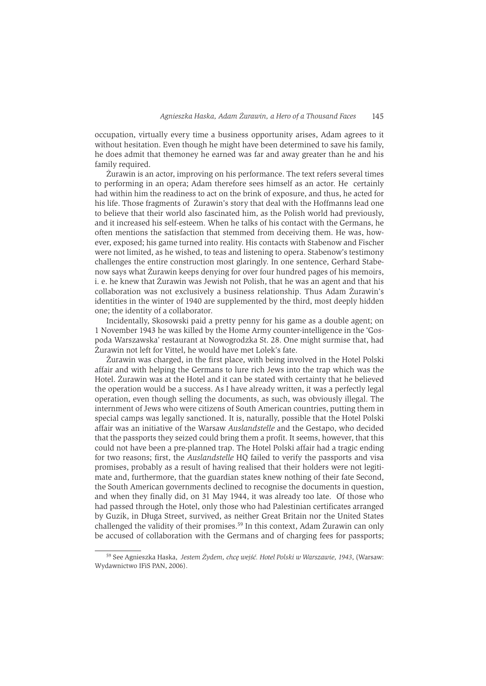occupation, virtually every time a business opportunity arises, Adam agrees to it without hesitation. Even though he might have been determined to save his family, he does admit that themoney he earned was far and away greater than he and his family required.

Żurawin is an actor, improving on his performance. The text refers several times to performing in an opera: Adam therefore sees himself as an actor. He certainly had within him the readiness to act on the brink of exposure, and thus, he acted for his life. Those fragments of Zurawin's story that deal with the Hoffmanns lead one to believe that their world also fascinated him, as the Polish world had previously. and it increased his self-esteem. When he talks of his contact with the Germans, he often mentions the satisfaction that stemmed from deceiving them. He was, however, exposed; his game turned into reality. His contacts with Stabenow and Fischer were not limited, as he wished, to teas and listening to opera. Stabenow's testimony challenges the entire construction most glaringly. In one sentence, Gerhard Stabenow says what Żurawin keeps denying for over four hundred pages of his memoirs, i, e, he knew that Zurawin was Jewish not Polish, that he was an agent and that his collaboration was not exclusively a business relationship. Thus Adam Zurawin's identities in the winter of 1940 are supplemented by the third, most deeply hidden one; the identity of a collaborator.

Incidentally, Skosowski paid a pretty penny for his game as a double agent; on 1 November 1943 he was killed by the Home Army counter-intelligence in the 'Gospoda Warszawska' restaurant at Nowogrodzka St. 28. One might surmise that, had Żurawin not left for Vittel, he would have met Lolek's fate.

Żurawin was charged, in the first place, with being involved in the Hotel Polski affair and with helping the Germans to lure rich Jews into the trap which was the Hotel. Żurawin was at the Hotel and it can be stated with certainty that he believed the operation would be a success. As I have already written, it was a perfectly legal operation, even though selling the documents, as such, was obviously illegal. The internment of Jews who were citizens of South American countries, putting them in special camps was legally sanctioned. It is, naturally, possible that the Hotel Polski affair was an initiative of the Warsaw Auslandstelle and the Gestapo, who decided that the passports they seized could bring them a profit. It seems, however, that this could not have been a pre-planned trap. The Hotel Polski affair had a tragic ending for two reasons; first, the *Auslandstelle* HO failed to verify the passports and visa promises, probably as a result of having realised that their holders were not legitimate and, furthermore, that the guardian states knew nothing of their fate Second, the South American governments declined to recognise the documents in question, and when they finally did, on 31 May 1944, it was already too late. Of those who had passed through the Hotel, only those who had Palestinian certificates arranged by Guzik, in Długa Street, survived, as neither Great Britain nor the United States challenged the validity of their promises.<sup>59</sup> In this context, Adam Żurawin can only be accused of collaboration with the Germans and of charging fees for passports;

<sup>&</sup>lt;sup>59</sup> See Agnieszka Haska, Jestem Żydem, chcę wejść. Hotel Polski w Warszawie, 1943, (Warsaw: Wydawnictwo IFiS PAN, 2006).